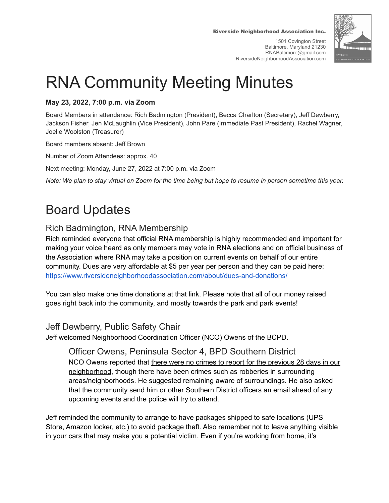Riverside Neighborhood Association Inc.

1501 Covington Street Baltimore, Maryland 21230 RNABaltimore@gmail.com RiversideNeighborhoodAssociation.com



# RNA Community Meeting Minutes

#### **May 23, 2022, 7:00 p.m. via Zoom**

Board Members in attendance: Rich Badmington (President), Becca Charlton (Secretary), Jeff Dewberry, Jackson Fisher, Jen McLaughlin (Vice President), John Pare (Immediate Past President), Rachel Wagner, Joelle Woolston (Treasurer)

Board members absent: Jeff Brown

Number of Zoom Attendees: approx. 40

Next meeting: Monday, June 27, 2022 at 7:00 p.m. via Zoom

Note: We plan to stay virtual on Zoom for the time being but hope to resume in person sometime this year.

## Board Updates

## Rich Badmington, RNA Membership

Rich reminded everyone that official RNA membership is highly recommended and important for making your voice heard as only members may vote in RNA elections and on official business of the Association where RNA may take a position on current events on behalf of our entire community. Dues are very affordable at \$5 per year per person and they can be paid here: <https://www.riversideneighborhoodassociation.com/about/dues-and-donations/>

You can also make one time donations at that link. Please note that all of our money raised goes right back into the community, and mostly towards the park and park events!

#### Jeff Dewberry, Public Safety Chair

Jeff welcomed Neighborhood Coordination Officer (NCO) Owens of the BCPD.

Officer Owens, Peninsula Sector 4, BPD Southern District NCO Owens reported that there were no crimes to report for the previous 28 days in our neighborhood, though there have been crimes such as robberies in surrounding areas/neighborhoods. He suggested remaining aware of surroundings. He also asked that the community send him or other Southern District officers an email ahead of any upcoming events and the police will try to attend.

Jeff reminded the community to arrange to have packages shipped to safe locations (UPS Store, Amazon locker, etc.) to avoid package theft. Also remember not to leave anything visible in your cars that may make you a potential victim. Even if you're working from home, it's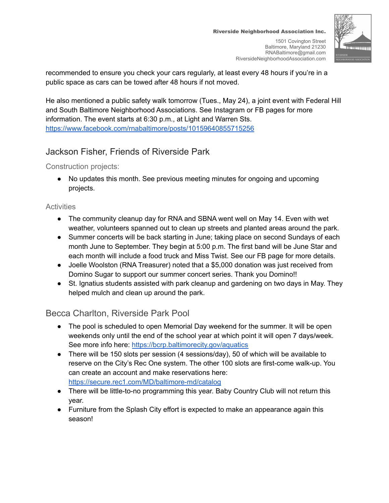recommended to ensure you check your cars regularly, at least every 48 hours if you're in a public space as cars can be towed after 48 hours if not moved.

He also mentioned a public safety walk tomorrow (Tues., May 24), a joint event with Federal Hill and South Baltimore Neighborhood Associations. See Instagram or FB pages for more information. The event starts at 6:30 p.m., at Light and Warren Sts. <https://www.facebook.com/rnabaltimore/posts/10159640855715256>

## Jackson Fisher, Friends of Riverside Park

Construction projects:

● No updates this month. See previous meeting minutes for ongoing and upcoming projects.

#### **Activities**

- The community cleanup day for RNA and SBNA went well on May 14. Even with wet weather, volunteers spanned out to clean up streets and planted areas around the park.
- Summer concerts will be back starting in June; taking place on second Sundays of each month June to September. They begin at 5:00 p.m. The first band will be June Star and each month will include a food truck and Miss Twist. See our FB page for more details.
- Joelle Woolston (RNA Treasurer) noted that a \$5,000 donation was just received from Domino Sugar to support our summer concert series. Thank you Domino!!
- St. Ignatius students assisted with park cleanup and gardening on two days in May. They helped mulch and clean up around the park.

## Becca Charlton, Riverside Park Pool

- The pool is scheduled to open Memorial Day weekend for the summer. It will be open weekends only until the end of the school year at which point it will open 7 days/week. See more info here: <https://bcrp.baltimorecity.gov/aquatics>
- There will be 150 slots per session (4 sessions/day), 50 of which will be available to reserve on the City's Rec One system. The other 100 slots are first-come walk-up. You can create an account and make reservations here: <https://secure.rec1.com/MD/baltimore-md/catalog>
- There will be little-to-no programming this year. Baby Country Club will not return this year.
- Furniture from the Splash City effort is expected to make an appearance again this season!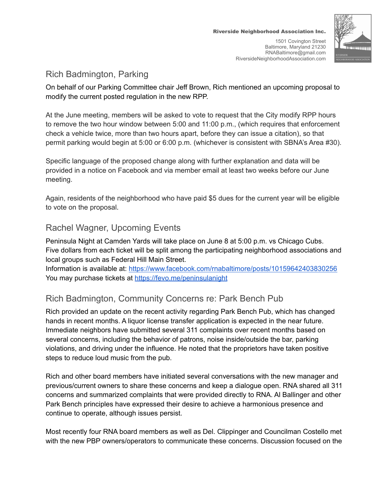

### Rich Badmington, Parking

On behalf of our Parking Committee chair Jeff Brown, Rich mentioned an upcoming proposal to modify the current posted regulation in the new RPP.

At the June meeting, members will be asked to vote to request that the City modify RPP hours to remove the two hour window between 5:00 and 11:00 p.m., (which requires that enforcement check a vehicle twice, more than two hours apart, before they can issue a citation), so that permit parking would begin at 5:00 or 6:00 p.m. (whichever is consistent with SBNA's Area #30).

Specific language of the proposed change along with further explanation and data will be provided in a notice on Facebook and via member email at least two weeks before our June meeting.

Again, residents of the neighborhood who have paid \$5 dues for the current year will be eligible to vote on the proposal.

### Rachel Wagner, Upcoming Events

Peninsula Night at Camden Yards will take place on June 8 at 5:00 p.m. vs Chicago Cubs. Five dollars from each ticket will be split among the participating neighborhood associations and local groups such as Federal Hill Main Street.

Information is available at: <https://www.facebook.com/rnabaltimore/posts/10159642403830256> You may purchase tickets at <https://fevo.me/peninsulanight>

## Rich Badmington, Community Concerns re: Park Bench Pub

Rich provided an update on the recent activity regarding Park Bench Pub, which has changed hands in recent months. A liquor license transfer application is expected in the near future. Immediate neighbors have submitted several 311 complaints over recent months based on several concerns, including the behavior of patrons, noise inside/outside the bar, parking violations, and driving under the influence. He noted that the proprietors have taken positive steps to reduce loud music from the pub.

Rich and other board members have initiated several conversations with the new manager and previous/current owners to share these concerns and keep a dialogue open. RNA shared all 311 concerns and summarized complaints that were provided directly to RNA. Al Ballinger and other Park Bench principles have expressed their desire to achieve a harmonious presence and continue to operate, although issues persist.

Most recently four RNA board members as well as Del. Clippinger and Councilman Costello met with the new PBP owners/operators to communicate these concerns. Discussion focused on the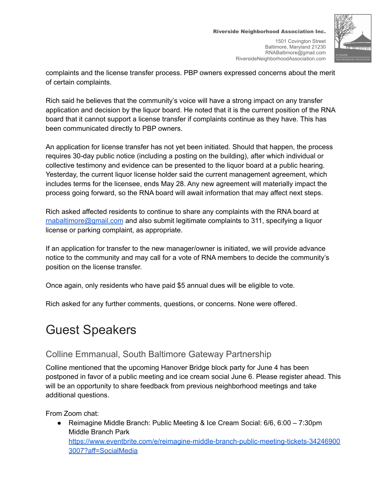

complaints and the license transfer process. PBP owners expressed concerns about the merit of certain complaints.

Rich said he believes that the community's voice will have a strong impact on any transfer application and decision by the liquor board. He noted that it is the current position of the RNA board that it cannot support a license transfer if complaints continue as they have. This has been communicated directly to PBP owners.

An application for license transfer has not yet been initiated. Should that happen, the process requires 30-day public notice (including a posting on the building), after which individual or collective testimony and evidence can be presented to the liquor board at a public hearing. Yesterday, the current liquor license holder said the current management agreement, which includes terms for the licensee, ends May 28. Any new agreement will materially impact the process going forward, so the RNA board will await information that may affect next steps.

Rich asked affected residents to continue to share any complaints with the RNA board at [rnabaltimore@gmail.com](mailto:rnabaltimore@gmail.com) and also submit legitimate complaints to 311, specifying a liquor license or parking complaint, as appropriate.

If an application for transfer to the new manager/owner is initiated, we will provide advance notice to the community and may call for a vote of RNA members to decide the community's position on the license transfer.

Once again, only residents who have paid \$5 annual dues will be eligible to vote.

Rich asked for any further comments, questions, or concerns. None were offered.

## Guest Speakers

#### Colline Emmanual, South Baltimore Gateway Partnership

Colline mentioned that the upcoming Hanover Bridge block party for June 4 has been postponed in favor of a public meeting and ice cream social June 6. Please register ahead. This will be an opportunity to share feedback from previous neighborhood meetings and take additional questions.

From Zoom chat:

● Reimagine Middle Branch: Public Meeting & Ice Cream Social: 6/6, 6:00 – 7:30pm Middle Branch Park [https://www.eventbrite.com/e/reimagine-middle-branch-public-meeting-tickets-34246900](https://www.eventbrite.com/e/reimagine-middle-branch-public-meeting-tickets-342469003007?aff=SocialMedia) [3007?aff=SocialMedia](https://www.eventbrite.com/e/reimagine-middle-branch-public-meeting-tickets-342469003007?aff=SocialMedia)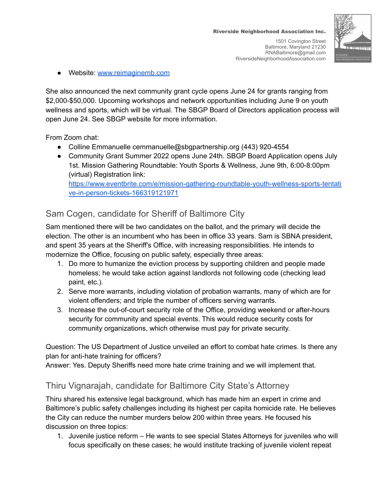

● Website: [www.reimaginemb.com](http://www.reimaginemb.com)

She also announced the next community grant cycle opens June 24 for grants ranging from \$2,000-\$50,000. Upcoming workshops and network opportunities including June 9 on youth wellness and sports, which will be virtual. The SBGP Board of Directors application process will open June 24. See SBGP website for more information.

From Zoom chat:

- Colline Emmanuelle cemmanuelle@sbgpartnership.org (443) 920-4554
- Community Grant Summer 2022 opens June 24th. SBGP Board Application opens July 1st. Mission Gathering Roundtable: Youth Sports & Wellness, June 9th, 6:00-8:00pm (virtual) Registration link: [https://www.eventbrite.com/e/mission-gathering-roundtable-youth-wellness-sports-tentati](https://www.eventbrite.com/e/mission-gathering-roundtable-youth-wellness-sports-tentative-in-person-tickets-166319121971)

[ve-in-person-tickets-166319121971](https://www.eventbrite.com/e/mission-gathering-roundtable-youth-wellness-sports-tentative-in-person-tickets-166319121971)

#### Sam Cogen, candidate for Sheriff of Baltimore City

Sam mentioned there will be two candidates on the ballot, and the primary will decide the election. The other is an incumbent who has been in office 33 years. Sam is SBNA president, and spent 35 years at the Sheriff's Office, with increasing responsibilities. He intends to modernize the Office, focusing on public safety, especially three areas:

- 1. Do more to humanize the eviction process by supporting children and people made homeless; he would take action against landlords not following code (checking lead paint, etc.).
- 2. Serve more warrants, including violation of probation warrants, many of which are for violent offenders; and triple the number of officers serving warrants.
- 3. Increase the out-of-court security role of the Office, providing weekend or after-hours security for community and special events. This would reduce security costs for community organizations, which otherwise must pay for private security.

Question: The US Department of Justice unveiled an effort to combat hate crimes. Is there any plan for anti-hate training for officers?

Answer: Yes. Deputy Sheriffs need more hate crime training and we will implement that.

#### Thiru Vignarajah, candidate for Baltimore City State's Attorney

Thiru shared his extensive legal background, which has made him an expert in crime and Baltimore's public safety challenges including its highest per capita homicide rate. He believes the City can reduce the number murders below 200 within three years. He focused his discussion on three topics:

1. Juvenile justice reform – He wants to see special States Attorneys for juveniles who will focus specifically on these cases; he would institute tracking of juvenile violent repeat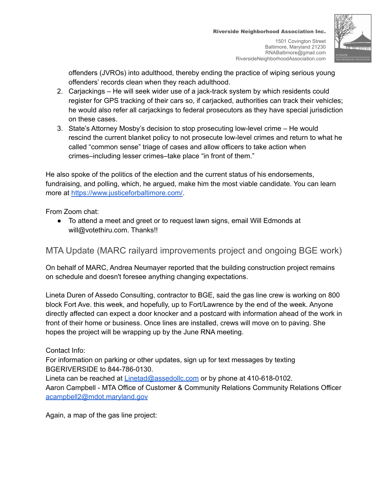offenders (JVROs) into adulthood, thereby ending the practice of wiping serious young offenders' records clean when they reach adulthood.

- 2. Carjackings He will seek wider use of a jack-track system by which residents could register for GPS tracking of their cars so, if carjacked, authorities can track their vehicles; he would also refer all carjackings to federal prosecutors as they have special jurisdiction on these cases.
- 3. State's Attorney Mosby's decision to stop prosecuting low-level crime He would rescind the current blanket policy to not prosecute low-level crimes and return to what he called "common sense" triage of cases and allow officers to take action when crimes–including lesser crimes–take place "in front of them."

He also spoke of the politics of the election and the current status of his endorsements, fundraising, and polling, which, he argued, make him the most viable candidate. You can learn more at [https://www.justiceforbaltimore.com/.](https://www.justiceforbaltimore.com/)

From Zoom chat:

● To attend a meet and greet or to request lawn signs, email Will Edmonds at will@votethiru.com. Thanks!!

### MTA Update (MARC railyard improvements project and ongoing BGE work)

On behalf of MARC, Andrea Neumayer reported that the building construction project remains on schedule and doesn't foresee anything changing expectations.

Lineta Duren of Assedo Consulting, contractor to BGE, said the gas line crew is working on 800 block Fort Ave. this week, and hopefully, up to Fort/Lawrence by the end of the week. Anyone directly affected can expect a door knocker and a postcard with information ahead of the work in front of their home or business. Once lines are installed, crews will move on to paving. She hopes the project will be wrapping up by the June RNA meeting.

Contact Info:

For information on parking or other updates, sign up for text messages by texting BGERIVERSIDE to 844-786-0130.

Lineta can be reached at [Linetad@assedollc.com](mailto:Linetad@assedollc.com) or by phone at 410-618-0102.

Aaron Campbell - MTA Office of Customer & Community Relations Community Relations Officer [acampbell2@mdot.maryland.gov](mailto:acampbell2@mdot.maryland.gov)

Again, a map of the gas line project: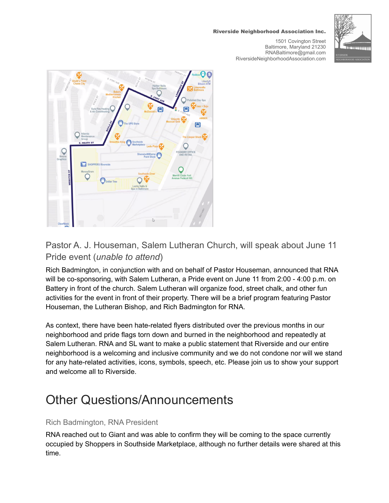#### Riverside Neighborhood Association Inc.

1501 Covington Street Baltimore, Maryland 21230 RNABaltimore@gmail.com RiversideNeighborhoodAssociation.com





### Pastor A. J. Houseman, Salem Lutheran Church, will speak about June 11 Pride event (*unable to attend*)

Rich Badmington, in conjunction with and on behalf of Pastor Houseman, announced that RNA will be co-sponsoring, with Salem Lutheran, a Pride event on June 11 from 2:00 - 4:00 p.m. on Battery in front of the church. Salem Lutheran will organize food, street chalk, and other fun activities for the event in front of their property. There will be a brief program featuring Pastor Houseman, the Lutheran Bishop, and Rich Badmington for RNA.

As context, there have been hate-related flyers distributed over the previous months in our neighborhood and pride flags torn down and burned in the neighborhood and repeatedly at Salem Lutheran. RNA and SL want to make a public statement that Riverside and our entire neighborhood is a welcoming and inclusive community and we do not condone nor will we stand for any hate-related activities, icons, symbols, speech, etc. Please join us to show your support and welcome all to Riverside.

## Other Questions/Announcements

#### Rich Badmington, RNA President

RNA reached out to Giant and was able to confirm they will be coming to the space currently occupied by Shoppers in Southside Marketplace, although no further details were shared at this time.